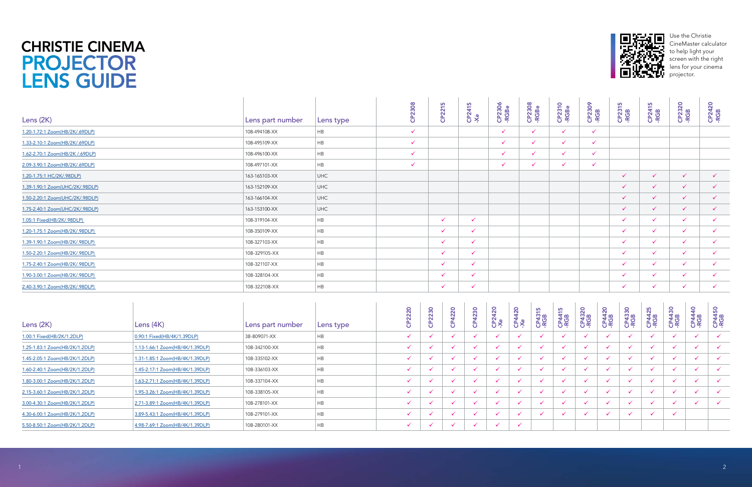## PROJECTOR LENS GUIDE CHRISTIE CINEMA

| Lens $(2K)$                    | Lens $(4K)$                     | Lens part number | Lens type | 220 | 2230<br>$\mathbf C$ | 220<br>$\mathbf C$ | 4230 | $\overline{5}$<br>CP2 <sub>e</sub> | CP4420<br>-Xe | <b>SC</b><br><b>CP431</b> | 5<br><b>CP441</b><br>-RGB | CP4320<br>-RGB | CP4420<br>-RGB | CP4330<br>-RGB           | CP4425<br>-RGB | CP4430<br>-RGB | $\overline{a}$<br>CP44.<br>-RGB | <b>SO</b><br>CP441<br>-RGB |
|--------------------------------|---------------------------------|------------------|-----------|-----|---------------------|--------------------|------|------------------------------------|---------------|---------------------------|---------------------------|----------------|----------------|--------------------------|----------------|----------------|---------------------------------|----------------------------|
| 1.00:1 Fixed(HB/2K/1.2DLP)     | 0.90:1 Fixed(HB/4K/1.39DLP)     | 38-809071-XX     | HB.       |     |                     |                    |      | $\checkmark$                       |               |                           | $\checkmark$              |                |                | $\checkmark$             |                |                |                                 |                            |
| 1.25-1.83:1 Zoom(HB/2K/1.2DLP) | 1.13-1.66:1 Zoom(HB/4K/1.39DLP) | 108-342100-XX    | <b>HB</b> |     |                     |                    |      |                                    |               |                           |                           |                |                |                          |                |                |                                 |                            |
| 1.45-2.05:1 Zoom(HB/2K/1.2DLP) | 1.31-1.85:1 Zoom(HB/4K/1.39DLP) | 108-335102-XX    | HB        |     |                     |                    |      |                                    |               |                           |                           |                |                |                          |                |                |                                 |                            |
| 1.60-2.40:1 Zoom(HB/2K/1.2DLP) | 1.45-2.17:1 Zoom(HB/4K/1.39DLP) | 108-336103-XX    | HB        |     |                     |                    |      | $\checkmark$                       |               |                           |                           |                |                | $\checkmark$             |                |                |                                 |                            |
| 1.80-3.00:1 Zoom(HB/2K/1.2DLP) | 1.63-2.71:1 Zoom(HB/4K/1.39DLP) | 108-337104-XX    | <b>HB</b> |     |                     |                    |      |                                    |               |                           |                           |                |                |                          |                |                |                                 |                            |
| 2.15-3.60:1 Zoom(HB/2K/1.2DLP) | 1.95-3.26:1 Zoom(HB/4K/1.39DLP) | 108-338105-XX    | HB        |     |                     |                    |      |                                    |               |                           |                           |                |                |                          |                |                |                                 |                            |
| 3.00-4.30:1 Zoom(HB/2K/1.2DLP) | 2.71-3.89:1 Zoom(HB/4K/1.39DLP) | 108-278101-XX    | <b>HB</b> |     |                     |                    |      | $\checkmark$                       |               |                           | $\cdot$                   |                |                | $\overline{\mathcal{L}}$ |                |                |                                 |                            |
| 4.30-6.00:1 Zoom(HB/2K/1.2DLP) | 3.89-5.43:1 Zoom(HB/4K/1.39DLP) | 108-279101-XX    | <b>HB</b> |     |                     |                    |      |                                    |               |                           |                           |                |                | $\checkmark$             |                |                |                                 |                            |
| 5.50-8.50:1 Zoom(HB/2K/1.2DLP) | 4.98-7.69:1 Zoom(HB/4K/1.39DLP) | 108-280101-XX    | HB        |     |                     |                    |      |                                    |               |                           |                           |                |                |                          |                |                |                                 |                            |



| Lens (2K)                       | Lens part number | Lens type  | 80<br>$\epsilon$ | CP2215       | 5<br><b>CP241!</b><br>-Xe | CP2306<br>-RGBe | CP2308<br>-RGBe | CP2310<br>-RGBe | <b>CP2309</b><br>-RGB | CP2315<br>-RGB | <b>CP2415</b><br>-RGB | CP2320<br>-RGB | CP2420<br>-RGB |
|---------------------------------|------------------|------------|------------------|--------------|---------------------------|-----------------|-----------------|-----------------|-----------------------|----------------|-----------------------|----------------|----------------|
| 1.20-1.72:1 Zoom(HB/2K/.69DLP)  | 108-494108-XX    | HB         | $\checkmark$     |              |                           |                 | $\checkmark$    | $\checkmark$    | $\checkmark$          |                |                       |                |                |
| 1.33-2.10:1 Zoom(HB/2K/.69DLP)  | 108-495109-XX    | HB         | $\checkmark$     |              |                           |                 | $\checkmark$    | $\checkmark$    | $\checkmark$          |                |                       |                |                |
| 1.62-2.70:1 Zoom(HB/2K /.69DLP) | 108-496100-XX    | HB         | $\checkmark$     |              |                           |                 | $\checkmark$    | $\checkmark$    | $\checkmark$          |                |                       |                |                |
| 2.09-3.90:1 Zoom(HB/2K/.69DLP)  | 108-497101-XX    | HB         | $\checkmark$     |              |                           |                 | $\checkmark$    | $\checkmark$    | $\checkmark$          |                |                       |                |                |
| 1.20-1.75:1 HC/2K/.98DLP)       | 163-165103-XX    | <b>UHC</b> |                  |              |                           |                 |                 |                 |                       | $\checkmark$   | $\checkmark$          | $\checkmark$   | $\checkmark$   |
| 1.39-1.90:1 Zoom(UHC/2K/.98DLP) | 163-152109-XX    | <b>UHC</b> |                  |              |                           |                 |                 |                 |                       | $\checkmark$   | $\checkmark$          | ✓              | $\checkmark$   |
| 1.50-2.20:1 Zoom(UHC/2K/.98DLP) | 163-166104-XX    | <b>UHC</b> |                  |              |                           |                 |                 |                 |                       | $\checkmark$   |                       |                |                |
| 1.75-2.40:1 Zoom(UHC/2K/.98DLP) | 163-153100-XX    | <b>UHC</b> |                  |              |                           |                 |                 |                 |                       | $\checkmark$   |                       | ✓              | $\checkmark$   |
| 1.05:1 Fixed(HB/2K/.98DLP)      | 108-319104-XX    | HB         |                  | $\checkmark$ | $\checkmark$              |                 |                 |                 |                       |                |                       |                |                |
| 1.20-1.75:1 Zoom(HB/2K/.98DLP)  | 108-350109-XX    | HB         |                  | $\checkmark$ |                           |                 |                 |                 |                       | $\checkmark$   |                       |                |                |
| 1.39-1.90:1 Zoom(HB/2K/.98DLP)  | 108-327103-XX    | HB         |                  | $\checkmark$ | ✓                         |                 |                 |                 |                       | $\checkmark$   |                       |                |                |
| 1.50-2.20:1 Zoom(HB/2K/.98DLP)  | 108-329105-XX    | HB         |                  | $\checkmark$ | $\checkmark$              |                 |                 |                 |                       | $\checkmark$   | $\checkmark$          | ✓              |                |
| 1.75-2.40:1 Zoom(HB/2K/.98DLP)  | 108-321107-XX    | HB         |                  | $\checkmark$ | $\checkmark$              |                 |                 |                 |                       | $\checkmark$   | $\checkmark$          | $\checkmark$   | $\checkmark$   |
| 1.90-3.00:1 Zoom(HB/2K/.98DLP)  | 108-328104-XX    | HB         |                  | $\checkmark$ | $\checkmark$              |                 |                 |                 |                       | $\checkmark$   | $\checkmark$          | ✓              |                |
| 2.40-3.90:1 Zoom(HB/2K/.98DLP)  | 108-322108-XX    | HB         |                  | $\checkmark$ | $\checkmark$              |                 |                 |                 |                       |                |                       |                |                |

Use the Christie CineMaster calculator to help light your screen with the right lens for your cinema projector.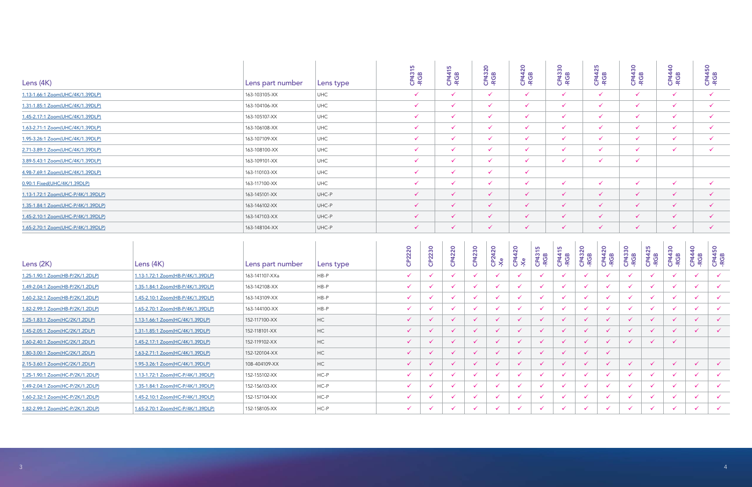| Lens (4K)                          | Lens part number | Lens type  | <b>CP4315</b><br>-RGB | <b>CP4415</b><br>-RGB | $\circ$<br>CP4320 | CP4420<br>-RGB | CP4330<br>-RGB | <b>SC</b><br>$rac{1}{4}$ $\omega$<br>CP4<br>-RGI | 30<br>4 <sup>w</sup><br>CP4<br>-RGI | $\overline{a}$<br><b>CP44</b><br>-RGB | CP4450<br>-RGB |
|------------------------------------|------------------|------------|-----------------------|-----------------------|-------------------|----------------|----------------|--------------------------------------------------|-------------------------------------|---------------------------------------|----------------|
| 1.13-1.66:1 Zoom(UHC/4K/1.39DLP)   | 163-103105-XX    | <b>UHC</b> | $\checkmark$          | $\checkmark$          | $\checkmark$      | $\checkmark$   | $\checkmark$   | $\checkmark$                                     | $\checkmark$                        | $\checkmark$                          |                |
| 1.31-1.85:1 Zoom(UHC/4K/1.39DLP)   | 163-104106-XX    | <b>UHC</b> | $\checkmark$          | $\checkmark$          | $\checkmark$      | $\checkmark$   | $\checkmark$   | $\checkmark$                                     | $\checkmark$                        |                                       |                |
| 1.45-2.17:1 Zoom(UHC/4K/1.39DLP)   | 163-105107-XX    | <b>UHC</b> | $\checkmark$          | $\checkmark$          | $\checkmark$      | $\checkmark$   | $\checkmark$   | $\checkmark$                                     | $\checkmark$                        |                                       |                |
| 1.63-2.71:1 Zoom(UHC/4K/1.39DLP)   | 163-106108-XX    | <b>UHC</b> | $\checkmark$          | $\checkmark$          | $\checkmark$      | $\checkmark$   | $\checkmark$   | $\checkmark$                                     | $\checkmark$                        |                                       |                |
| 1.95-3.26:1 Zoom(UHC/4K/1.39DLP)   | 163-107109-XX    | <b>UHC</b> | $\checkmark$          | $\checkmark$          | $\checkmark$      | $\checkmark$   | $\checkmark$   | $\checkmark$                                     | $\checkmark$                        |                                       |                |
| 2.71-3.89:1 Zoom(UHC/4K/1.39DLP)   | 163-108100-XX    | <b>UHC</b> | $\checkmark$          | $\checkmark$          | ✓                 | $\checkmark$   | $\checkmark$   | $\checkmark$                                     | $\checkmark$                        |                                       |                |
| 3.89-5.43:1 Zoom(UHC/4K/1.39DLP)   | 163-109101-XX    | <b>UHC</b> | $\checkmark$          | $\checkmark$          | ✓                 | $\checkmark$   | $\checkmark$   | $\checkmark$                                     | $\checkmark$                        |                                       |                |
| 4.98-7.69:1 Zoom(UHC/4K/1.39DLP)   | 163-110103-XX    | <b>UHC</b> | $\checkmark$          | $\checkmark$          | $\checkmark$      | $\checkmark$   |                |                                                  |                                     |                                       |                |
| 0.90:1 Fixed(UHC/4K/1.39DLP)       | 163-117100-XX    | <b>UHC</b> | $\checkmark$          | $\checkmark$          | $\checkmark$      | $\checkmark$   | $\checkmark$   | $\checkmark$                                     | $\checkmark$                        |                                       |                |
| 1.13-1.72:1 Zoom(UHC-P/4K/1.39DLP) | 163-145101-XX    | UHC-P      | $\checkmark$          | $\checkmark$          | ✓                 | $\checkmark$   | $\checkmark$   | $\checkmark$                                     | $\checkmark$                        |                                       |                |
| 1.35-1.84:1 Zoom(UHC-P/4K/1.39DLP) | 163-146102-XX    | UHC-P      | $\checkmark$          | $\checkmark$          | $\checkmark$      | $\checkmark$   | $\checkmark$   | $\checkmark$                                     | $\checkmark$                        |                                       |                |
| 1.45-2.10:1 Zoom(UHC-P/4K/1.39DLP) | 163-147103-XX    | UHC-P      | $\checkmark$          | $\checkmark$          | ✓                 | $\checkmark$   | $\checkmark$   | $\checkmark$                                     | $\checkmark$                        |                                       |                |
| 1.65-2.70:1 Zoom(UHC-P/4K/1.39DLP) | 163-148104-XX    | UHC-P      | $\checkmark$          | $\checkmark$          | $\checkmark$      | $\checkmark$   | $\checkmark$   | $\checkmark$                                     | $\checkmark$                        | ✓                                     |                |

| Lens (4K)                          |                                   | Lens part number | Lens type      | CP4315<br>-RGB | <b>CP4415</b><br>-RGB        |               | CP4320<br>-RGB               | <b>CP4420</b><br>-RGB |                | CP4330<br>-RGB        |                | <b>CP4425</b><br>-RGB | CP4430<br>-RGB |                       | <b>CP4440</b><br>-RGB |                       | <b>CP4450</b><br>-RGB |  |
|------------------------------------|-----------------------------------|------------------|----------------|----------------|------------------------------|---------------|------------------------------|-----------------------|----------------|-----------------------|----------------|-----------------------|----------------|-----------------------|-----------------------|-----------------------|-----------------------|--|
| 1.13-1.66:1 Zoom(UHC/4K/1.39DLP)   |                                   | 163-103105-XX    | UHC            | $\checkmark$   | $\checkmark$                 |               | $\checkmark$                 | $\checkmark$          |                | $\checkmark$          |                | $\checkmark$          | $\checkmark$   |                       | $\checkmark$          |                       | $\checkmark$          |  |
| 1.31-1.85:1 Zoom(UHC/4K/1.39DLP)   |                                   | 163-104106-XX    | UHC            | $\checkmark$   | $\checkmark$                 |               | $\checkmark$                 | $\checkmark$          |                | $\checkmark$          |                | $\checkmark$          | $\checkmark$   |                       | $\checkmark$          |                       | $\checkmark$          |  |
| 1.45-2.17:1 Zoom(UHC/4K/1.39DLP)   |                                   | 163-105107-XX    | UHC            | ✓              | $\checkmark$                 |               | $\checkmark$                 | $\checkmark$          |                | $\checkmark$          |                | $\checkmark$          | $\checkmark$   |                       | $\checkmark$          |                       | $\checkmark$          |  |
| 1.63-2.71:1 Zoom(UHC/4K/1.39DLP)   |                                   | 163-106108-XX    | UHC            | $\checkmark$   | $\checkmark$                 |               | $\checkmark$                 | $\checkmark$          |                | $\checkmark$          |                | $\checkmark$          | $\checkmark$   |                       | $\checkmark$          |                       | $\checkmark$          |  |
| 1.95-3.26:1 Zoom(UHC/4K/1.39DLP)   |                                   | 163-107109-XX    | UHC            | ✓              | $\checkmark$                 |               | $\checkmark$                 | $\checkmark$          |                | $\checkmark$          |                | $\checkmark$          | $\checkmark$   |                       | $\checkmark$          |                       | $\checkmark$          |  |
| 2.71-3.89:1 Zoom(UHC/4K/1.39DLP)   |                                   | 163-108100-XX    | UHC            | $\checkmark$   | $\checkmark$                 |               | $\checkmark$                 | $\checkmark$          |                | $\checkmark$          |                | $\checkmark$          | $\checkmark$   |                       | $\checkmark$          |                       | $\checkmark$          |  |
| 3.89-5.43:1 Zoom(UHC/4K/1.39DLP)   |                                   | 163-109101-XX    | UHC            | ✓              | $\checkmark$                 |               | $\checkmark$                 | $\checkmark$          |                | $\checkmark$          |                | $\checkmark$          | $\checkmark$   |                       |                       |                       |                       |  |
| 4.98-7.69:1 Zoom(UHC/4K/1.39DLP)   |                                   | 163-110103-XX    | UHC            | $\checkmark$   | $\checkmark$                 |               | $\checkmark$                 | $\checkmark$          |                |                       |                |                       |                |                       |                       |                       |                       |  |
| 0.90:1 Fixed(UHC/4K/1.39DLP)       |                                   | 163-117100-XX    | UHC            | ✓              | $\checkmark$                 |               | $\checkmark$                 | $\checkmark$          |                | $\checkmark$          |                | $\checkmark$          | $\checkmark$   |                       | $\checkmark$          |                       | $\checkmark$          |  |
| 1.13-1.72:1 Zoom(UHC-P/4K/1.39DLP) |                                   | 163-145101-XX    | UHC-P          | $\checkmark$   | $\checkmark$                 |               | $\checkmark$                 | $\checkmark$          |                | $\checkmark$          |                | $\sqrt{2}$            | $\checkmark$   |                       | $\checkmark$          |                       | $\checkmark$          |  |
| 1.35-1.84:1 Zoom(UHC-P/4K/1.39DLP) |                                   | 163-146102-XX    | UHC-P          | $\checkmark$   | $\checkmark$                 |               | $\checkmark$<br>$\checkmark$ |                       |                | $\checkmark$          |                | $\checkmark$          | $\checkmark$   |                       | $\checkmark$          |                       | $\checkmark$          |  |
| 1.45-2.10:1 Zoom(UHC-P/4K/1.39DLP) |                                   | 163-147103-XX    | UHC-P          | $\checkmark$   | $\checkmark$                 |               | $\checkmark$                 | $\checkmark$          |                | $\checkmark$          |                | $\checkmark$          | $\checkmark$   |                       | $\checkmark$          |                       | $\checkmark$          |  |
| 1.65-2.70:1 Zoom(UHC-P/4K/1.39DLP) |                                   | 163-148104-XX    | UHC-P          | $\checkmark$   | $\checkmark$                 |               | $\checkmark$                 | $\checkmark$          |                | $\checkmark$          |                | $\checkmark$          | $\checkmark$   |                       | $\checkmark$          |                       | $\checkmark$          |  |
| Lens (2K)                          | Lens (4K)                         | Lens part number | Lens type      | CP2220         | CP2230<br>CP4220             | CP4230        | CP2420<br>-Xe                | CP4420<br>-Xe         | CP4315<br>-RGB | <b>CP4415</b><br>-RGB | CP4320<br>-RGB | CP4420<br>-RGB        | CP4330<br>-RGB | <b>CP4425</b><br>-RGB | CP4430<br>-RGB        | <b>CP4440</b><br>-RGB | CP4450<br>-RGB        |  |
| 1.25-1.90:1 Zoom(HB-P/2K/1.2DLP)   | 1.13-1.72:1 Zoom(HB-P/4K/1.39DLP) | 163-141107-XXa   | $HB-P$         | ✓              | $\checkmark$<br>$\checkmark$ |               | $\checkmark$                 |                       |                | $\checkmark$          |                |                       | $\checkmark$   |                       |                       | $\checkmark$          | $\checkmark$          |  |
| 1.49-2.04:1 Zoom(HB-P/2K/1.2DLP)   | 1.35-1.84:1 Zoom(HB-P/4K/1.39DLP) | 163-142108-XX    | HB-P           | $\checkmark$   | $\checkmark$<br>$\checkmark$ | ✓             | $\checkmark$                 | $\checkmark$          | ✓              | $\checkmark$          | $\checkmark$   | $\checkmark$          | $\checkmark$   | $\checkmark$          | $\checkmark$          | $\checkmark$          | $\checkmark$          |  |
| 1.60-2.32:1 Zoom(HB-P/2K/1.2DLP)   | 1.45-2.10:1 Zoom(HB-P/4K/1.39DLP) | 163-143109-XX    | HB-P           | $\checkmark$   | $\checkmark$<br>$\checkmark$ | ✓             | $\checkmark$                 | $\checkmark$          | ✓              | $\checkmark$          | $\checkmark$   | ✓                     | $\checkmark$   | $\checkmark$          | ✓                     | $\checkmark$          | $\checkmark$          |  |
|                                    | 1.65-2.70:1 Zoom(HB-P/4K/1.39DLP) | 163-144100-XX    | HB-P           | $\checkmark$   | $\checkmark$                 | ✓             | $\checkmark$                 | $\checkmark$          | ✓              | $\checkmark$          | $\checkmark$   | ✓                     | $\checkmark$   | $\checkmark$          | ✓                     | $\checkmark$          | $\checkmark$          |  |
| 1.82-2.99:1 Zoom(HB-P/2K/1.2DLP)   |                                   |                  |                |                |                              |               |                              |                       |                |                       |                |                       |                |                       |                       | $\checkmark$          | $\checkmark$          |  |
| 1.25-1.83:1 Zoom(HC/2K/1.2DLP)     | 1.13-1.66:1 Zoom(HC/4K/1.39DLP)   | 152-117100-XX    | $H$ C          | $\checkmark$   | $\checkmark$<br>$\checkmark$ | $\checkmark$  | $\checkmark$                 | $\checkmark$          | $\checkmark$   | $\checkmark$          | $\checkmark$   | $\checkmark$          | $\checkmark$   | $\checkmark$          | $\checkmark$          |                       |                       |  |
| 1.45-2.05:1 Zoom(HC/2K/1.2DLP)     | 1.31-1.85:1 Zoom(HC/4K/1.39DLP)   | 152-118101-XX    | $\sf HC$       | $\checkmark$   | ✓<br>$\checkmark$            | $\checkmark$  | $\checkmark$                 |                       | $\checkmark$   | $\checkmark$          | $\checkmark$   | $\checkmark$          | $\checkmark$   |                       |                       | $\checkmark$          | $\checkmark$          |  |
| 1.60-2.40:1 Zoom(HC/2K/1.2DLP)     | 1.45-2.17:1 Zoom(HC/4K/1.39DLP)   | 152-119102-XX    | $\sf HC$       | $\mathcal{L}$  | $\sqrt{2}$                   | $\mathscr{L}$ | $\mathcal{L}$                | $\sqrt{2}$            | $\mathscr{L}$  | $\mathscr{L}$         | $\checkmark$   | $\mathscr{L}$         | $\mathcal{L}$  | $\mathcal{L}$         | $\mathscr{L}$         |                       |                       |  |
| 1.80-3.00:1 Zoom(HC/2K/1.2DLP)     | 1.63-2.71:1 Zoom(HC/4K/1.39DLP)   | 152-120104-XX    | HC             | $\checkmark$   | $\checkmark$<br>$\checkmark$ | $\checkmark$  | $\checkmark$                 | $\checkmark$          | $\checkmark$   | $\checkmark$          | $\checkmark$   | $\checkmark$          |                |                       |                       |                       |                       |  |
| 2.15-3.60:1 Zoom(HC/2K/1.2DLP)     | 1.95-3.26:1 Zoom(HC/4K/1.39DLP)   | 108-404109-XX    | H <sub>C</sub> | $\checkmark$   | $\checkmark$<br>$\checkmark$ | $\checkmark$  | $\checkmark$                 | $\checkmark$          | $\checkmark$   | $\checkmark$          | $\checkmark$   | $\checkmark$          | $\checkmark$   | $\checkmark$          | $\checkmark$          | $\checkmark$          | $\checkmark$          |  |
| 1.25-1.90:1 Zoom(HC-P/2K/1.2DLP)   | 1.13-1.72:1 Zoom(HC-P/4K/1.39DLP) | 152-155102-XX    | $HC-P$         | $\checkmark$   | $\checkmark$<br>$\checkmark$ |               | $\checkmark$                 | $\checkmark$          |                | $\checkmark$          | $\checkmark$   |                       | $\checkmark$   | $\checkmark$          |                       | $\checkmark$          | $\checkmark$          |  |
| 1.49-2.04:1 Zoom(HC-P/2K/1.2DLP)   | 1.35-1.84:1 Zoom(HC-P/4K/1.39DLP) | 152-156103-XX    | $HC-P$         | $\checkmark$   | $\checkmark$<br>$\checkmark$ |               | $\checkmark$                 | $\checkmark$          |                | $\checkmark$          | $\checkmark$   |                       | $\checkmark$   | $\checkmark$          |                       | $\checkmark$          | $\checkmark$          |  |
| 1.60-2.32:1 Zoom(HC-P/2K/1.2DLP)   | 1.45-2.10:1 Zoom(HC-P/4K/1.39DLP) | 152-157104-XX    | $HC-P$         | $\checkmark$   | $\checkmark$<br>$\checkmark$ |               | $\checkmark$                 | $\checkmark$          |                | $\checkmark$          | $\checkmark$   |                       | $\checkmark$   | $\checkmark$          |                       | $\checkmark$          | $\checkmark$          |  |